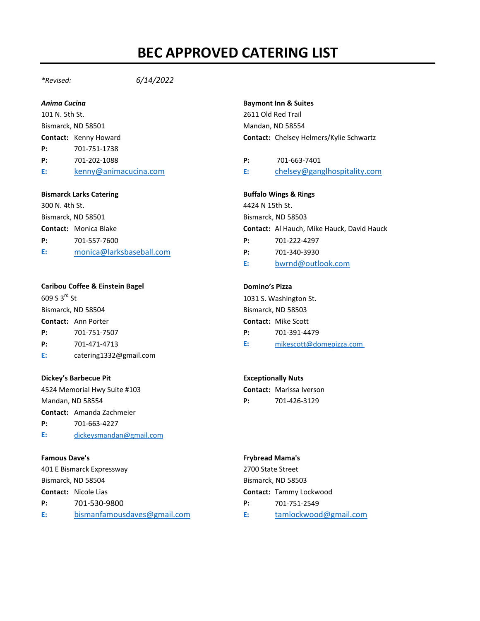# **BEC APPROVED CATERING LIST**

*\*Revised: 6/14/2022*

101 N. 5th St. 2611 Old Red Trail Bismarck, ND 58501 Mandan, ND 58554 **P:** 701-751-1738 **P:** 701-202-1088 **P:** 701-663-7401

# **Bismarck Larks Catering Buffalo Wings & Rings**

300 N. 4th St. 4424 N 15th St. Bismarck, ND 58501 Bismarck, ND 58503 **P:** 701-557-7600 **P:** 701-222-4297 **[E:](mailto:catering1332@gmail.com)** [monica@larksbaseball.com](mailto:monica@larksbaseball.com) **P:** 701-340-3930

# **Caribou Coffee & Einstein Bagel Domino's Pizza**

| P: | 701-751-7507 | 701-391-4479 |
|----|--------------|--------------|

- 
- **[E:](mailto:catering1332@gmail.com)** catering1332@gmail.com

# **Dickey's Barbecue Pit <b>Exceptionally Nuts Exceptionally Nuts**

4524 Memorial Hwy Suite #103 **Contact:** Marissa Iverson Mandan, ND 58554 **P:** 701-426-3129

**Contact:** Amanda Zachmeier

**P:** 701-663-4227

**[E:](mailto:catering1332@gmail.com)** [dickeysmandan@gmail.com](mailto:dickeysmandan@gmail.com)

401 E Bismarck Expressway 2700 State Street Bismarck, ND 58504 Bismarck, ND 58503 **Contact:** Nicole Lias **Contact:** Tammy Lockwood **P:** 701-530-9800 **P:** 701-751-2549 **E:** [bismanfamousdaves@gmail.com](mailto:bismanfamousdaves@gmail.com) **E:** [tamlockwood@gmail.com](mailto:tamlockwood@gmail.com)

# *Anima Cucina* **Baymont Inn & Suites**

**Contact:** Kenny Howard **Contact:** Chelsey Helmers/Kylie Schwartz

**[E:](mailto:catering1332@gmail.com)** [kenny@animacucina.com](mailto:kenny@animacucina.com) **[E:](mailto:catering1332@gmail.com)** [chelsey@ganglhospitality.com](mailto:chelsey@ganglhospitality.com)

**Contact:** Monica Blake **Contact:** Al Hauch, Mike Hauck, David Hauck

- 
- **[E:](mailto:catering1332@gmail.com)** [bwrnd@outlook.com](mailto:bwrnd@outlook.com)

609 S 3<sup>rd</sup> St 1031 S. Washington St. Bismarck, ND 58504 Bismarck, ND 58503 **Contact:** Ann Porter **Contact:** Mike Scott

- 
- **P:** 701-471-4713 **[E:](mailto:catering1332@gmail.com)** [mikescott@domepizza.com](mailto:mikescott@domepizza.com)

## **Famous Dave's Frybread Mama's**

- 
-